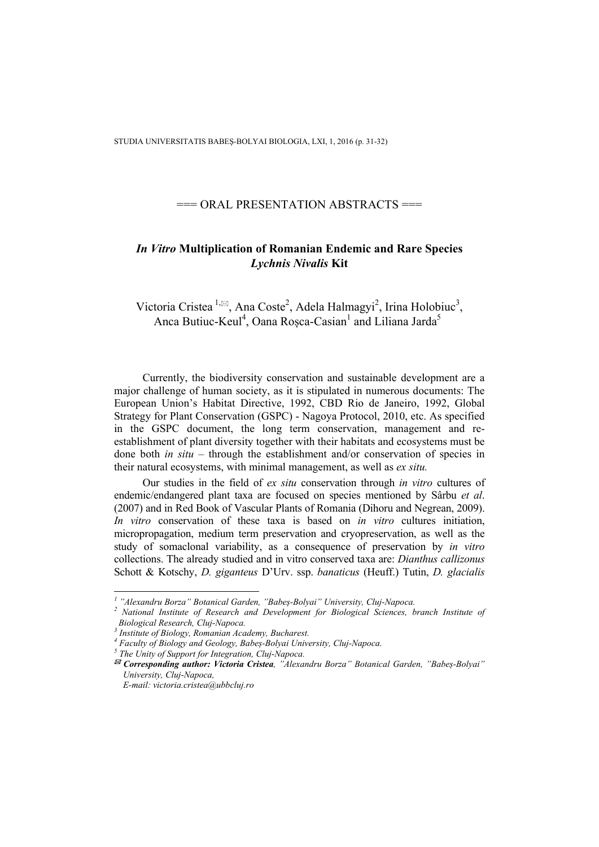## $==$  ORAL PRESENTATION ABSTRACTS  $==$

## *In Vitro* **Multiplication of Romanian Endemic and Rare Species**  *Lychnis Nivalis* **Kit**

Victoria Cristea <sup>1, $\boxtimes$ </sup>, Ana Coste<sup>2</sup>, Adela Halmagyi<sup>2</sup>, Irina Holobiuc<sup>3</sup>, Anca Butiuc-Keul<sup>4</sup>, Oana Roșca-Casian<sup>1</sup> and Liliana Jarda<sup>5</sup>

Currently, the biodiversity conservation and sustainable development are a major challenge of human society, as it is stipulated in numerous documents: The European Union's Habitat Directive, 1992, CBD Rio de Janeiro, 1992, Global Strategy for Plant Conservation (GSPC) - Nagoya Protocol, 2010, etc. As specified in the GSPC document, the long term conservation, management and reestablishment of plant diversity together with their habitats and ecosystems must be done both *in situ* – through the establishment and/or conservation of species in their natural ecosystems, with minimal management, as well as *ex situ.*

Our studies in the field of *ex situ* conservation through *in vitro* cultures of endemic/endangered plant taxa are focused on species mentioned by Sârbu *et al*. (2007) and in Red Book of Vascular Plants of Romania (Dihoru and Negrean, 2009). *In vitro* conservation of these taxa is based on *in vitro* cultures initiation, micropropagation, medium term preservation and cryopreservation, as well as the study of somaclonal variability, as a consequence of preservation by *in vitro*  collections. The already studied and in vitro conserved taxa are: *Dianthus callizonus* Schott & Kotschy, *D. giganteus* D'Urv. ssp. *banaticus* (Heuff.) Tutin, *D. glacialis* 

 $\overline{a}$ 

<sup>&</sup>lt;sup>1</sup> "Alexandru Borza" Botanical Garden, "Babeș-Bolyai" University, Cluj-Napoca.<br><sup>2</sup> National Institute of Bessaugh and Davelopment for Biological Sciences, b

<sup>&</sup>lt;sup>2</sup> National Institute of Research and Development for Biological Sciences, branch Institute of *Biological Research, Cluj-Napoca.* 

*<sup>3</sup> Institute of Biology, Romanian Academy, Bucharest.* 

<sup>&</sup>lt;sup>4</sup> Faculty of Biology and Geology, Babeș-Bolyai University, Cluj-Napoca.<br><sup>5</sup> The Unity of Support for Integration, Cluj Napoca.

*The Unity of Support for Integration, Cluj-Napoca.* 

*Corresponding author: Victoria Cristea, "Alexandru Borza" Botanical Garden, "Babeș-Bolyai" University, Cluj-Napoca,* 

*E-mail: victoria.cristea@ubbcluj.ro*